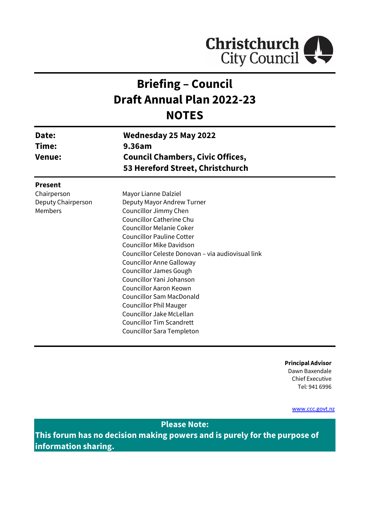

# **Briefing – Council Draft Annual Plan 2022-23 NOTES**

| Date:<br>Time:<br><b>Venue:</b> | <b>Wednesday 25 May 2022</b><br>9.36am<br><b>Council Chambers, Civic Offices,</b><br>53 Hereford Street, Christchurch |  |
|---------------------------------|-----------------------------------------------------------------------------------------------------------------------|--|
| <b>Present</b>                  |                                                                                                                       |  |
| Chairperson                     | Mayor Lianne Dalziel                                                                                                  |  |
| Deputy Chairperson              | Deputy Mayor Andrew Turner                                                                                            |  |
| <b>Members</b>                  | Councillor Jimmy Chen                                                                                                 |  |
|                                 | Councillor Catherine Chu                                                                                              |  |
|                                 | <b>Councillor Melanie Coker</b>                                                                                       |  |
|                                 | <b>Councillor Pauline Cotter</b>                                                                                      |  |
|                                 | <b>Councillor Mike Davidson</b>                                                                                       |  |
|                                 | Councillor Celeste Donovan – via audiovisual link                                                                     |  |
|                                 | <b>Councillor Anne Galloway</b>                                                                                       |  |
|                                 | <b>Councillor James Gough</b>                                                                                         |  |
|                                 | Councillor Yani Johanson                                                                                              |  |
|                                 | <b>Councillor Aaron Keown</b>                                                                                         |  |
|                                 | Councillor Sam MacDonald                                                                                              |  |
|                                 | <b>Councillor Phil Mauger</b>                                                                                         |  |
|                                 | Councillor Jake McLellan                                                                                              |  |
|                                 | <b>Councillor Tim Scandrett</b>                                                                                       |  |
|                                 | <b>Councillor Sara Templeton</b>                                                                                      |  |

**Principal Advisor**

Dawn Baxendale Chief Executive Tel: 941 6996

[www.ccc.govt.nz](http://www.ccc.govt.nz/)

# **Please Note:**

**This forum has no decision making powers and is purely for the purpose of information sharing.**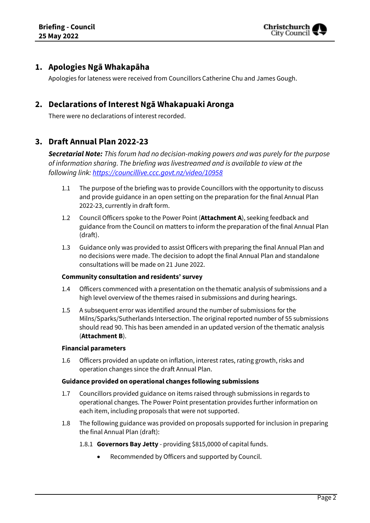

# **1. Apologies Ngā Whakapāha**

Apologies for lateness were received from Councillors Catherine Chu and James Gough.

# **2. Declarations of Interest Ngā Whakapuaki Aronga**

There were no declarations of interest recorded.

# **3. Draft Annual Plan 2022-23**

*Secretarial Note: This forum had no decision-making powers and was purely for the purpose of information sharing. The briefing was livestreamed and is available to view at the following link:<https://councillive.ccc.govt.nz/video/10958>*

- 1.1 The purpose of the briefing was to provide Councillors with the opportunity to discuss and provide guidance in an open setting on the preparation for the final Annual Plan 2022-23, currently in draft form.
- 1.2 Council Officers spoke to the Power Point (**Attachment A**), seeking feedback and guidance from the Council on matters to inform the preparation of the final Annual Plan (draft).
- 1.3 Guidance only was provided to assist Officers with preparing the final Annual Plan and no decisions were made. The decision to adopt the final Annual Plan and standalone consultations will be made on 21 June 2022.

# **Community consultation and residents' survey**

- 1.4 Officers commenced with a presentation on the thematic analysis of submissions and a high level overview of the themes raised in submissions and during hearings.
- 1.5 A subsequent error was identified around the number of submissions for the Milns/Sparks/Sutherlands Intersection. The original reported number of 55 submissions should read 90. This has been amended in an updated version of the thematic analysis (**Attachment B**).

# **Financial parameters**

1.6 Officers provided an update on inflation, interest rates, rating growth, risks and operation changes since the draft Annual Plan.

# **Guidance provided on operational changes following submissions**

- 1.7 Councillors provided guidance on items raised through submissions in regards to operational changes. The Power Point presentation provides further information on each item, including proposals that were not supported.
- 1.8 The following guidance was provided on proposals supported for inclusion in preparing the final Annual Plan (draft):
	- 1.8.1 **Governors Bay Jetty**  providing \$815,0000 of capital funds.
		- Recommended by Officers and supported by Council.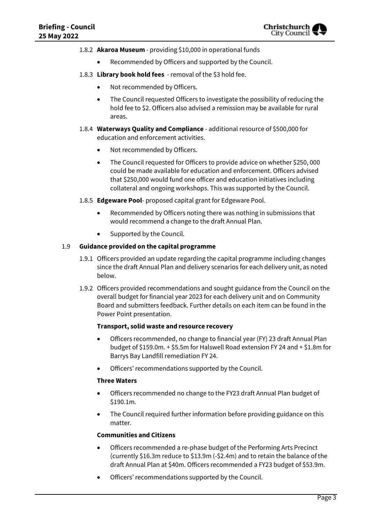- 1.8.2 **Akaroa Museum**  providing \$10,000 in operational funds
	- Recommended by Officers and supported by the Council.
- 1.8.3 **Library book hold fees**  removal of the \$3 hold fee.
	- Not recommended by Officers.
	- The Council requested Officers to investigate the possibility of reducing the hold fee to \$2. Officers also advised a remission may be available for rural areas.
- 1.8.4 **Waterways Quality and Compliance**  additional resource of \$500,000 for education and enforcement activities.
	- Not recommended by Officers.
	- The Council requested for Officers to provide advice on whether \$250,000 could be made available for education and enforcement. Officers advised that \$250,000 would fund one officer and education initiatives including collateral and ongoing workshops. This was supported by the Council.
- 1.8.5 **Edgeware Pool** proposed capital grant for Edgeware Pool.
	- Recommended by Officers noting there was nothing in submissions that would recommend a change to the draft Annual Plan.
	- Supported by the Council.

# 1.9 **Guidance provided on the capital programme**

- 1.9.1 Officers provided an update regarding the capital programme including changes since the draft Annual Plan and delivery scenarios for each delivery unit, as noted below.
- 1.9.2 Officers provided recommendations and sought guidance from the Council on the overall budget for financial year 2023 for each delivery unit and on Community Board and submitters feedback. Further details on each item can be found in the Power Point presentation.

# **Transport, solid waste and resource recovery**

- Officers recommended, no change to financial year (FY) 23 draft Annual Plan budget of \$159.0m. + \$5.5m for Halswell Road extension FY 24 and + \$1.8m for Barrys Bay Landfill remediation FY 24.
- Officers' recommendations supported by the Council.

#### **Three Waters**

- Officers recommended no change to the FY23 draft Annual Plan budget of \$190.1m.
- The Council required further information before providing guidance on this matter.

# **Communities and Citizens**

- Officers recommended a re-phase budget of the Performing Arts Precinct (currently \$16.3m reduce to \$13.9m (-\$2.4m) and to retain the balance of the draft Annual Plan at \$40m. Officers recommended a FY23 budget of \$53.9m.
- Officers' recommendations supported by the Council.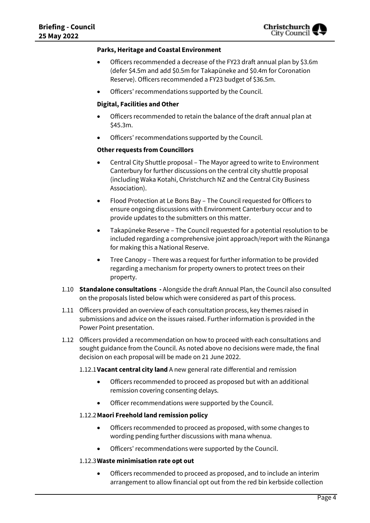#### **Parks, Heritage and Coastal Environment**

- Officers recommended a decrease of the FY23 draft annual plan by \$3.6m (defer \$4.5m and add \$0.5m for Takapūneke and \$0.4m for Coronation Reserve). Officers recommended a FY23 budget of \$36.5m.
- Officers' recommendations supported by the Council.

#### **Digital, Facilities and Other**

- Officers recommended to retain the balance of the draft annual plan at \$45.3m.
- Officers' recommendations supported by the Council.

#### **Other requests from Councillors**

- Central City Shuttle proposal The Mayor agreed to write to Environment Canterbury for further discussions on the central city shuttle proposal (including Waka Kotahi, Christchurch NZ and the Central City Business Association).
- Flood Protection at Le Bons Bay The Council requested for Officers to ensure ongoing discussions with Environment Canterbury occur and to provide updates to the submitters on this matter.
- Takapūneke Reserve The Council requested for a potential resolution to be included regarding a comprehensive joint approach/report with the Rūnanga for making this a National Reserve.
- Tree Canopy There was a request for further information to be provided regarding a mechanism for property owners to protect trees on their property.
- 1.10 **Standalone consultations -** Alongside the draft Annual Plan, the Council also consulted on the proposals listed below which were considered as part of this process.
- 1.11 Officers provided an overview of each consultation process, key themes raised in submissions and advice on the issues raised. Further information is provided in the Power Point presentation.
- 1.12 Officers provided a recommendation on how to proceed with each consultations and sought guidance from the Council. As noted above no decisions were made, the final decision on each proposal will be made on 21 June 2022.
	- 1.12.1**Vacant central city land** A new general rate differential and remission
		- Officers recommended to proceed as proposed but with an additional remission covering consenting delays.
		- Officer recommendations were supported by the Council.

# 1.12.2**Maori Freehold land remission policy**

- Officers recommended to proceed as proposed, with some changes to wording pending further discussions with mana whenua.
- Officers' recommendations were supported by the Council.

#### 1.12.3**Waste minimisation rate opt out**

 Officers recommended to proceed as proposed, and to include an interim arrangement to allow financial opt out from the red bin kerbside collection